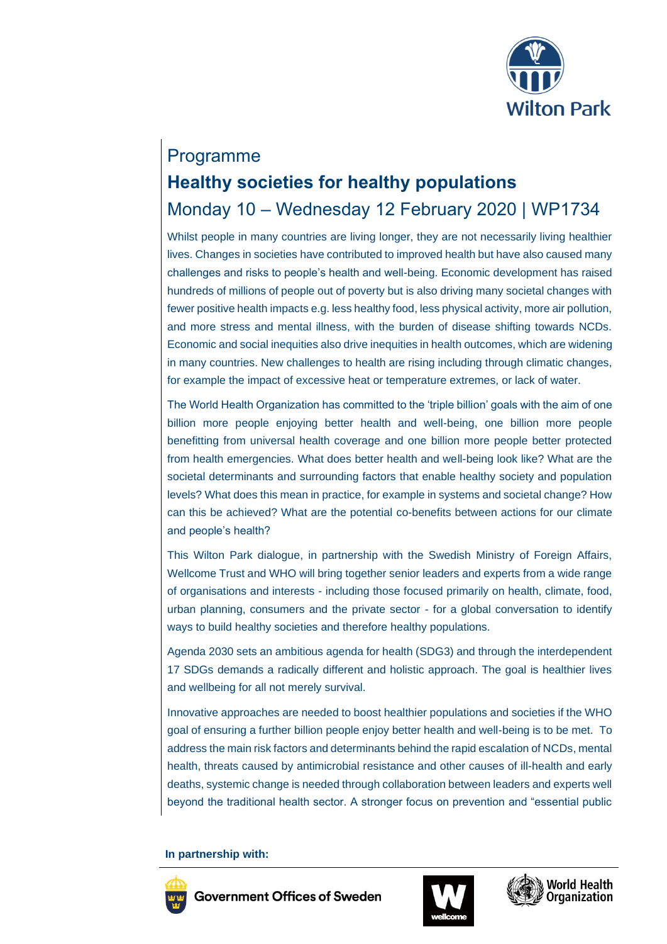

# Programme **Healthy societies for healthy populations** Monday 10 – Wednesday 12 February 2020 | WP1734

Whilst people in many countries are living longer, they are not necessarily living healthier lives. Changes in societies have contributed to improved health but have also caused many challenges and risks to people's health and well-being. Economic development has raised hundreds of millions of people out of poverty but is also driving many societal changes with fewer positive health impacts e.g. less healthy food, less physical activity, more air pollution, and more stress and mental illness, with the burden of disease shifting towards NCDs. Economic and social inequities also drive inequities in health outcomes, which are widening in many countries. New challenges to health are rising including through climatic changes, for example the impact of excessive heat or temperature extremes, or lack of water.

The World Health Organization has committed to the 'triple billion' goals with the aim of one billion more people enjoying better health and well-being, one billion more people benefitting from universal health coverage and one billion more people better protected from health emergencies. What does better health and well-being look like? What are the societal determinants and surrounding factors that enable healthy society and population levels? What does this mean in practice, for example in systems and societal change? How can this be achieved? What are the potential co-benefits between actions for our climate and people's health?

This Wilton Park dialogue, in partnership with the Swedish Ministry of Foreign Affairs, Wellcome Trust and WHO will bring together senior leaders and experts from a wide range of organisations and interests - including those focused primarily on health, climate, food, urban planning, consumers and the private sector - for a global conversation to identify ways to build healthy societies and therefore healthy populations.

Agenda 2030 sets an ambitious agenda for health (SDG3) and through the interdependent 17 SDGs demands a radically different and holistic approach. The goal is healthier lives and wellbeing for all not merely survival.

Innovative approaches are needed to boost healthier populations and societies if the WHO goal of ensuring a further billion people enjoy better health and well-being is to be met. To address the main risk factors and determinants behind the rapid escalation of NCDs, mental health, threats caused by antimicrobial resistance and other causes of ill-health and early deaths, systemic change is needed through collaboration between leaders and experts well beyond the traditional health sector. A stronger focus on prevention and "essential public

**In partnership with:** 





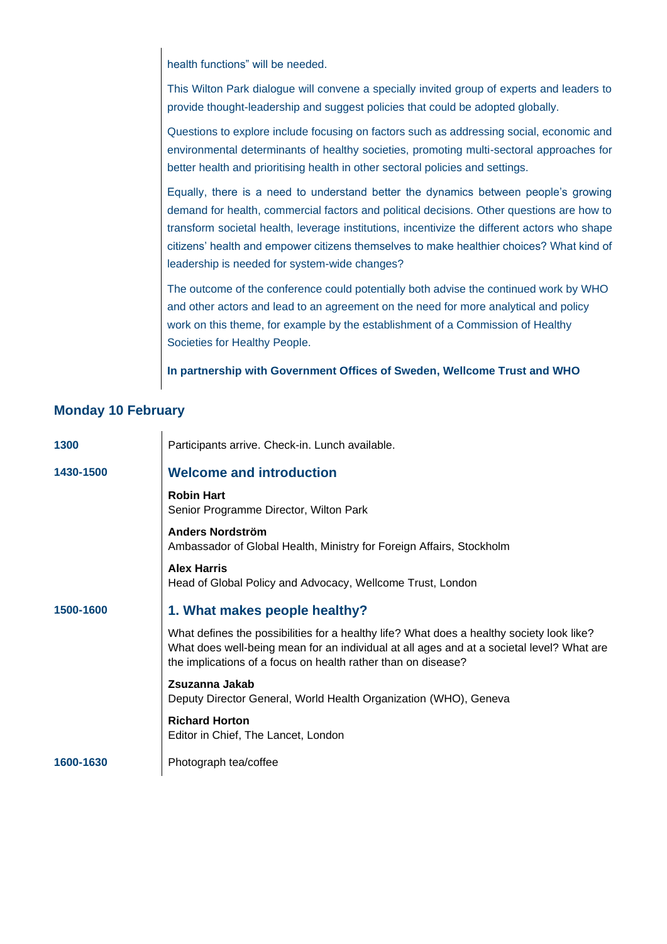health functions" will be needed.

This Wilton Park dialogue will convene a specially invited group of experts and leaders to provide thought-leadership and suggest policies that could be adopted globally.

Questions to explore include focusing on factors such as addressing social, economic and environmental determinants of healthy societies, promoting multi-sectoral approaches for better health and prioritising health in other sectoral policies and settings.

Equally, there is a need to understand better the dynamics between people's growing demand for health, commercial factors and political decisions. Other questions are how to transform societal health, leverage institutions, incentivize the different actors who shape citizens' health and empower citizens themselves to make healthier choices? What kind of leadership is needed for system-wide changes?

The outcome of the conference could potentially both advise the continued work by WHO and other actors and lead to an agreement on the need for more analytical and policy work on this theme, for example by the establishment of a Commission of Healthy Societies for Healthy People.

**In partnership with Government Offices of Sweden, Wellcome Trust and WHO**

#### **Monday 10 February**

| 1300      | Participants arrive. Check-in. Lunch available.                                                                                                                                                                                                         |
|-----------|---------------------------------------------------------------------------------------------------------------------------------------------------------------------------------------------------------------------------------------------------------|
| 1430-1500 | <b>Welcome and introduction</b>                                                                                                                                                                                                                         |
|           | <b>Robin Hart</b><br>Senior Programme Director, Wilton Park                                                                                                                                                                                             |
|           | <b>Anders Nordström</b><br>Ambassador of Global Health, Ministry for Foreign Affairs, Stockholm                                                                                                                                                         |
|           | <b>Alex Harris</b><br>Head of Global Policy and Advocacy, Wellcome Trust, London                                                                                                                                                                        |
| 1500-1600 | 1. What makes people healthy?                                                                                                                                                                                                                           |
|           | What defines the possibilities for a healthy life? What does a healthy society look like?<br>What does well-being mean for an individual at all ages and at a societal level? What are<br>the implications of a focus on health rather than on disease? |
|           | Zsuzanna Jakab<br>Deputy Director General, World Health Organization (WHO), Geneva                                                                                                                                                                      |
|           | <b>Richard Horton</b><br>Editor in Chief, The Lancet, London                                                                                                                                                                                            |
| 1600-1630 | Photograph tea/coffee                                                                                                                                                                                                                                   |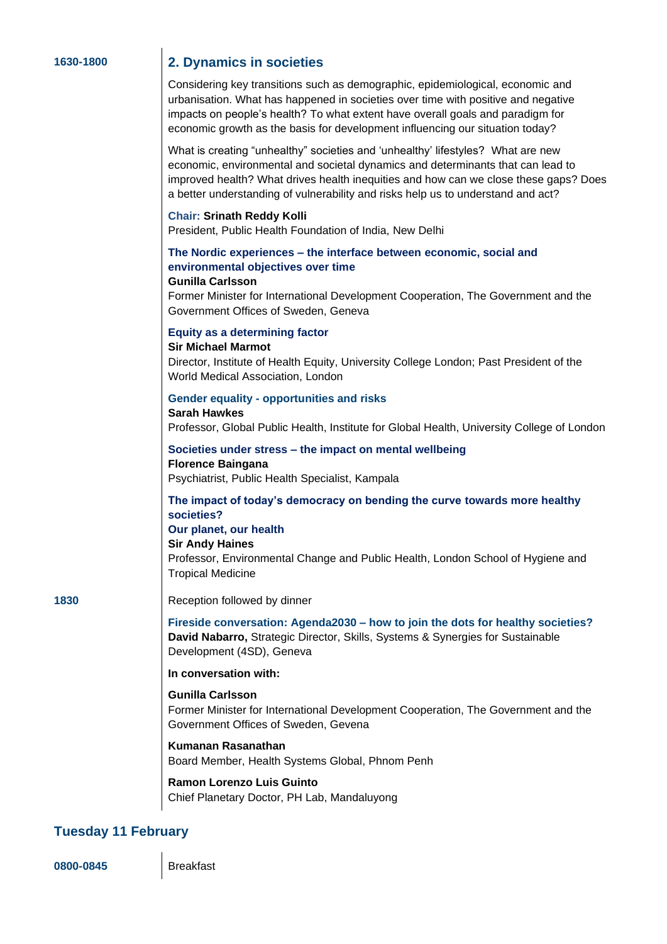#### **1630-1800 2. Dynamics in societies**

Considering key transitions such as demographic, epidemiological, economic and urbanisation. What has happened in societies over time with positive and negative impacts on people's health? To what extent have overall goals and paradigm for economic growth as the basis for development influencing our situation today?

What is creating "unhealthy" societies and 'unhealthy' lifestyles? What are new economic, environmental and societal dynamics and determinants that can lead to improved health? What drives health inequities and how can we close these gaps? Does a better understanding of vulnerability and risks help us to understand and act?

#### **Chair: Srinath Reddy Kolli**

President, Public Health Foundation of India, New Delhi

#### **The Nordic experiences – the interface between economic, social and environmental objectives over time**

#### **Gunilla Carlsson**

Former Minister for International Development Cooperation, The Government and the Government Offices of Sweden, Geneva

#### **Equity as a determining factor**

**Sir Michael Marmot**

Director, Institute of Health Equity, University College London; Past President of the World Medical Association, London

#### **Gender equality - opportunities and risks**

**Sarah Hawkes** Professor, Global Public Health, Institute for Global Health, University College of London

#### **Societies under stress – the impact on mental wellbeing Florence Baingana** Psychiatrist, Public Health Specialist, Kampala

#### **The impact of today's democracy on bending the curve towards more healthy societies?**

#### **Our planet, our health**

**Sir Andy Haines**

Professor, Environmental Change and Public Health, London School of Hygiene and Tropical Medicine

#### **1830** Reception followed by dinner

**Fireside conversation: Agenda2030 – how to join the dots for healthy societies? David Nabarro,** Strategic Director, Skills, Systems & Synergies for Sustainable Development (4SD), Geneva

#### **In conversation with:**

**Gunilla Carlsson** Former Minister for International Development Cooperation, The Government and the Government Offices of Sweden, Gevena

#### **Kumanan Rasanathan**

Board Member, Health Systems Global, Phnom Penh

#### **Ramon Lorenzo Luis Guinto** Chief Planetary Doctor, PH Lab, Mandaluyong

### **Tuesday 11 February**

**0800-0845** Breakfast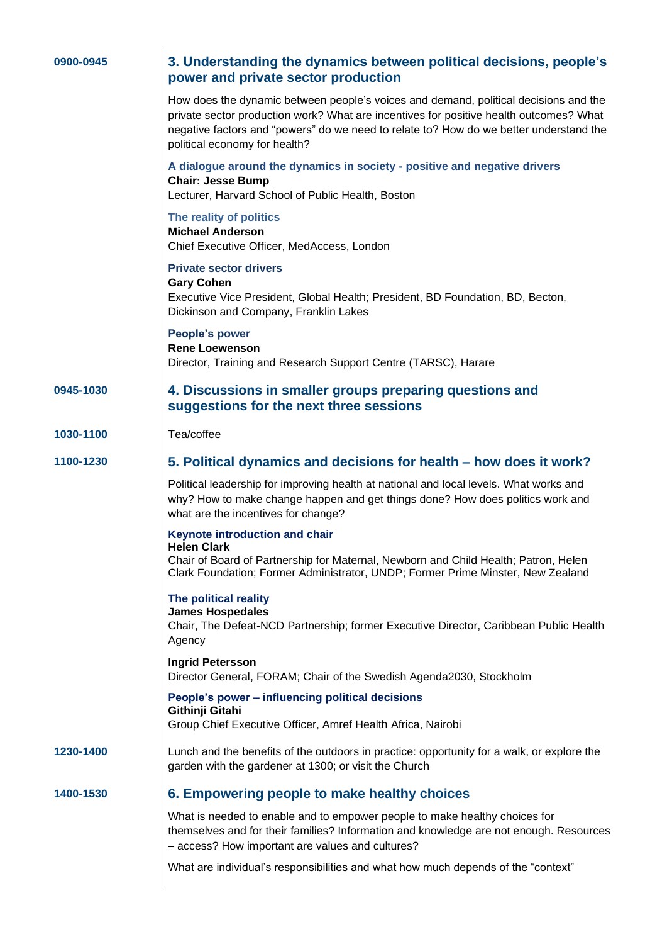| 0900-0945 | 3. Understanding the dynamics between political decisions, people's<br>power and private sector production                                                                                                                                                                                                |
|-----------|-----------------------------------------------------------------------------------------------------------------------------------------------------------------------------------------------------------------------------------------------------------------------------------------------------------|
|           | How does the dynamic between people's voices and demand, political decisions and the<br>private sector production work? What are incentives for positive health outcomes? What<br>negative factors and "powers" do we need to relate to? How do we better understand the<br>political economy for health? |
|           | A dialogue around the dynamics in society - positive and negative drivers<br><b>Chair: Jesse Bump</b><br>Lecturer, Harvard School of Public Health, Boston                                                                                                                                                |
|           | The reality of politics<br><b>Michael Anderson</b><br>Chief Executive Officer, MedAccess, London                                                                                                                                                                                                          |
|           | <b>Private sector drivers</b><br><b>Gary Cohen</b><br>Executive Vice President, Global Health; President, BD Foundation, BD, Becton,<br>Dickinson and Company, Franklin Lakes                                                                                                                             |
|           | <b>People's power</b><br><b>Rene Loewenson</b><br>Director, Training and Research Support Centre (TARSC), Harare                                                                                                                                                                                          |
| 0945-1030 | 4. Discussions in smaller groups preparing questions and<br>suggestions for the next three sessions                                                                                                                                                                                                       |
| 1030-1100 | Tea/coffee                                                                                                                                                                                                                                                                                                |
| 1100-1230 | 5. Political dynamics and decisions for health – how does it work?                                                                                                                                                                                                                                        |
|           | Political leadership for improving health at national and local levels. What works and<br>why? How to make change happen and get things done? How does politics work and<br>what are the incentives for change?                                                                                           |
|           | Keynote introduction and chair<br><b>Helen Clark</b><br>Chair of Board of Partnership for Maternal, Newborn and Child Health; Patron, Helen<br>Clark Foundation; Former Administrator, UNDP; Former Prime Minster, New Zealand                                                                            |
|           | The political reality<br><b>James Hospedales</b><br>Chair, The Defeat-NCD Partnership; former Executive Director, Caribbean Public Health<br>Agency                                                                                                                                                       |
|           | <b>Ingrid Petersson</b><br>Director General, FORAM; Chair of the Swedish Agenda2030, Stockholm                                                                                                                                                                                                            |
|           | People's power - influencing political decisions<br>Githinji Gitahi<br>Group Chief Executive Officer, Amref Health Africa, Nairobi                                                                                                                                                                        |
| 1230-1400 | Lunch and the benefits of the outdoors in practice: opportunity for a walk, or explore the<br>garden with the gardener at 1300; or visit the Church                                                                                                                                                       |
| 1400-1530 | 6. Empowering people to make healthy choices                                                                                                                                                                                                                                                              |
|           | What is needed to enable and to empower people to make healthy choices for<br>themselves and for their families? Information and knowledge are not enough. Resources<br>- access? How important are values and cultures?                                                                                  |
|           | What are individual's responsibilities and what how much depends of the "context"                                                                                                                                                                                                                         |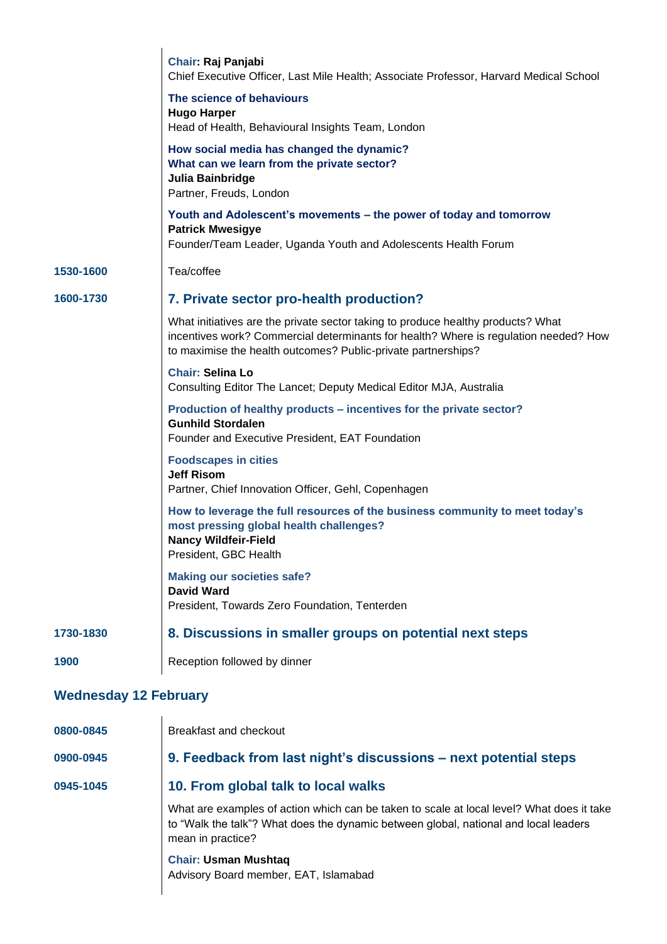|                              | <b>Chair: Raj Panjabi</b><br>Chief Executive Officer, Last Mile Health; Associate Professor, Harvard Medical School                                                                                                                       |  |
|------------------------------|-------------------------------------------------------------------------------------------------------------------------------------------------------------------------------------------------------------------------------------------|--|
|                              | The science of behaviours<br><b>Hugo Harper</b><br>Head of Health, Behavioural Insights Team, London                                                                                                                                      |  |
|                              | How social media has changed the dynamic?<br>What can we learn from the private sector?<br>Julia Bainbridge<br>Partner, Freuds, London                                                                                                    |  |
|                              | Youth and Adolescent's movements – the power of today and tomorrow<br><b>Patrick Mwesigye</b><br>Founder/Team Leader, Uganda Youth and Adolescents Health Forum                                                                           |  |
| 1530-1600                    | Tea/coffee                                                                                                                                                                                                                                |  |
| 1600-1730                    | 7. Private sector pro-health production?                                                                                                                                                                                                  |  |
|                              | What initiatives are the private sector taking to produce healthy products? What<br>incentives work? Commercial determinants for health? Where is regulation needed? How<br>to maximise the health outcomes? Public-private partnerships? |  |
|                              | <b>Chair: Selina Lo</b><br>Consulting Editor The Lancet; Deputy Medical Editor MJA, Australia                                                                                                                                             |  |
|                              | Production of healthy products - incentives for the private sector?<br><b>Gunhild Stordalen</b><br>Founder and Executive President, EAT Foundation                                                                                        |  |
|                              | <b>Foodscapes in cities</b><br><b>Jeff Risom</b><br>Partner, Chief Innovation Officer, Gehl, Copenhagen                                                                                                                                   |  |
|                              | How to leverage the full resources of the business community to meet today's<br>most pressing global health challenges?<br><b>Nancy Wildfeir-Field</b><br>President, GBC Health                                                           |  |
|                              | <b>Making our societies safe?</b><br>David Ward<br>President, Towards Zero Foundation, Tenterden                                                                                                                                          |  |
| 1730-1830                    | 8. Discussions in smaller groups on potential next steps                                                                                                                                                                                  |  |
| 1900                         | Reception followed by dinner                                                                                                                                                                                                              |  |
| <b>Wednesday 12 February</b> |                                                                                                                                                                                                                                           |  |
| 0800-0845                    | Breakfast and checkout                                                                                                                                                                                                                    |  |
| 0900-0945                    | 9. Feedback from last night's discussions - next potential steps                                                                                                                                                                          |  |

## **0945-1045 10. From global talk to local walks**

What are examples of action which can be taken to scale at local level? What does it take to "Walk the talk"? What does the dynamic between global, national and local leaders mean in practice?

**Chair: Usman Mushtaq**  Advisory Board member, EAT, Islamabad